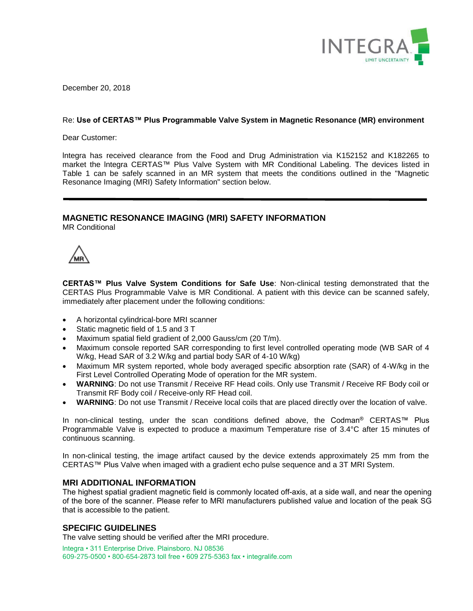

December 20, 2018

## Re: **Use of CERTAS™ Plus Programmable Valve System in Magnetic Resonance (MR) environment**

Dear Customer:

lntegra has received clearance from the Food and Drug Administration via K152152 and K182265 to market the lntegra CERTAS™ Plus Valve System with MR Conditional Labeling. The devices listed in Table 1 can be safely scanned in an MR system that meets the conditions outlined in the "Magnetic Resonance Imaging (MRI) Safety Information" section below.

# **MAGNETIC RESONANCE IMAGING (MRI) SAFETY INFORMATION**

MR Conditional

**CERTAS™ Plus Valve System Conditions for Safe Use**: Non-clinical testing demonstrated that the CERTAS Plus Programmable Valve is MR Conditional. A patient with this device can be scanned safely, immediately after placement under the following conditions:

- A horizontal cylindrical-bore MRI scanner
- Static magnetic field of 1.5 and 3 T
- Maximum spatial field gradient of 2,000 Gauss/cm (20 T/m).
- Maximum console reported SAR corresponding to first level controlled operating mode (WB SAR of 4 W/kg, Head SAR of 3.2 W/kg and partial body SAR of 4-10 W/kg)
- Maximum MR system reported, whole body averaged specific absorption rate (SAR) of 4-W/kg in the First Level Controlled Operating Mode of operation for the MR system.
- **WARNING**: Do not use Transmit / Receive RF Head coils. Only use Transmit / Receive RF Body coil or Transmit RF Body coil / Receive-only RF Head coil.
- **WARNING**: Do not use Transmit / Receive local coils that are placed directly over the location of valve.

In non-clinical testing, under the scan conditions defined above, the Codman® CERTAS™ Plus Programmable Valve is expected to produce a maximum Temperature rise of 3.4°C after 15 minutes of continuous scanning.

In non-clinical testing, the image artifact caused by the device extends approximately 25 mm from the CERTAS™ Plus Valve when imaged with a gradient echo pulse sequence and a 3T MRI System.

## **MRI ADDITIONAL INFORMATION**

The highest spatial gradient magnetic field is commonly located off-axis, at a side wall, and near the opening of the bore of the scanner. Please refer to MRI manufacturers published value and location of the peak SG that is accessible to the patient.

# **SPECIFIC GUIDELINES**

The valve setting should be verified after the MRI procedure.

lntegra • 311 Enterprise Drive. Plainsboro. NJ 08536 609-275-0500 • 800-654-2873 toll free • 609 275-5363 fax • integralife.com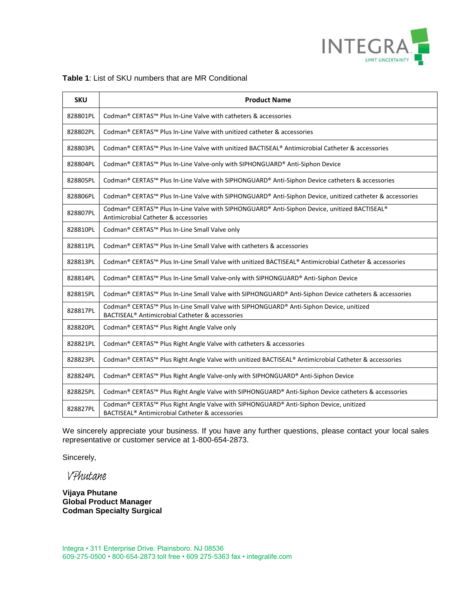

|  |  | <b>Table 1:</b> List of SKU numbers that are MR Conditional |
|--|--|-------------------------------------------------------------|
|--|--|-------------------------------------------------------------|

| <b>SKU</b> | <b>Product Name</b>                                                                                                                                    |
|------------|--------------------------------------------------------------------------------------------------------------------------------------------------------|
| 828801PL   | Codman <sup>®</sup> CERTAS <sup>™</sup> Plus In-Line Valve with catheters & accessories                                                                |
| 828802PL   | Codman® CERTAS™ Plus In-Line Valve with unitized catheter & accessories                                                                                |
| 828803PL   | Codman® CERTAS™ Plus In-Line Valve with unitized BACTISEAL® Antimicrobial Catheter & accessories                                                       |
| 828804PL   | Codman® CERTAS™ Plus In-Line Valve-only with SIPHONGUARD® Anti-Siphon Device                                                                           |
| 828805PL   | Codman® CERTAS™ Plus In-Line Valve with SIPHONGUARD® Anti-Siphon Device catheters & accessories                                                        |
| 828806PL   | Codman® CERTAS™ Plus In-Line Valve with SIPHONGUARD® Anti-Siphon Device, unitized catheter & accessories                                               |
| 828807PL   | Codman® CERTAS™ Plus In-Line Valve with SIPHONGUARD® Anti-Siphon Device, unitized BACTISEAL®<br>Antimicrobial Catheter & accessories                   |
| 828810PL   | Codman® CERTAS™ Plus In-Line Small Valve only                                                                                                          |
| 828811PL   | Codman® CERTAS™ Plus In-Line Small Valve with catheters & accessories                                                                                  |
| 828813PL   | Codman® CERTAS™ Plus In-Line Small Valve with unitized BACTISEAL® Antimicrobial Catheter & accessories                                                 |
| 828814PL   | Codman® CERTAS™ Plus In-Line Small Valve-only with SIPHONGUARD® Anti-Siphon Device                                                                     |
| 828815PL   | Codman® CERTAS™ Plus In-Line Small Valve with SIPHONGUARD® Anti-Siphon Device catheters & accessories                                                  |
| 828817PL   | Codman® CERTAS™ Plus In-Line Small Valve with SIPHONGUARD® Anti-Siphon Device, unitized<br>BACTISEAL <sup>®</sup> Antimicrobial Catheter & accessories |
| 828820PL   | Codman® CERTAS™ Plus Right Angle Valve only                                                                                                            |
| 828821PL   | Codman® CERTAS™ Plus Right Angle Valve with catheters & accessories                                                                                    |
| 828823PL   | Codman® CERTAS™ Plus Right Angle Valve with unitized BACTISEAL® Antimicrobial Catheter & accessories                                                   |
| 828824PL   | Codman® CERTAS™ Plus Right Angle Valve-only with SIPHONGUARD® Anti-Siphon Device                                                                       |
| 828825PL   | Codman® CERTAS™ Plus Right Angle Valve with SIPHONGUARD® Anti-Siphon Device catheters & accessories                                                    |
| 828827PL   | Codman® CERTAS™ Plus Right Angle Valve with SIPHONGUARD® Anti-Siphon Device, unitized<br>BACTISEAL <sup>®</sup> Antimicrobial Catheter & accessories   |

We sincerely appreciate your business. If you have any further questions, please contact your local sales representative or customer service at 1-800-654-2873.

Sincerely,

VPhutane

**Vijaya Phutane Global Product Manager Codman Specialty Surgical**